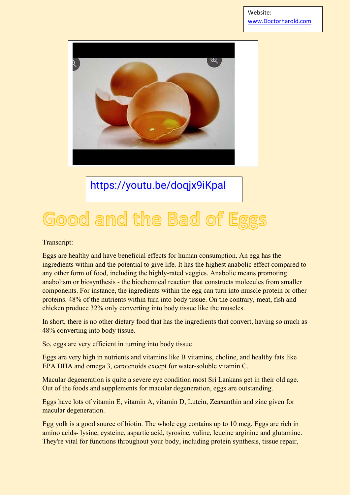

<https://youtu.be/doqjx9iKpaI>

## Good and the Bad of Eggs

Transcript:

Eggs are healthy and have beneficial effects for human consumption. An egg has the ingredients within and the potential to give life. It has the highest anabolic effect compared to any other form of food, including the highly-rated veggies. Anabolic means promoting anabolism or biosynthesis - the biochemical reaction that constructs molecules from smaller components. For instance, the ingredients within the egg can turn into muscle protein or other proteins. 48% of the nutrients within turn into body tissue. On the contrary, meat, fish and chicken produce 32% only converting into body tissue like the muscles.

In short, there is no other dietary food that has the ingredients that convert, having so much as 48% converting into body tissue.

So, eggs are very efficient in turning into body tissue

Eggs are very high in nutrients and vitamins like B vitamins, choline, and healthy fats like EPA DHA and omega 3, carotenoids except for water-soluble vitamin C.

Macular degeneration is quite a severe eye condition most Sri Lankans get in their old age. Out of the foods and supplements for macular degeneration, eggs are outstanding.

Eggs have lots of vitamin E, vitamin A, vitamin D, Lutein, Zeaxanthin and zinc given for macular degeneration.

Egg yolk is a good source of biotin. The whole egg contains up to 10 mcg. Eggs are rich in amino acids- lysine, cysteine, aspartic acid, tyrosine, valine, leucine arginine and glutamine. They're vital for functions throughout your body, including protein synthesis, tissue repair,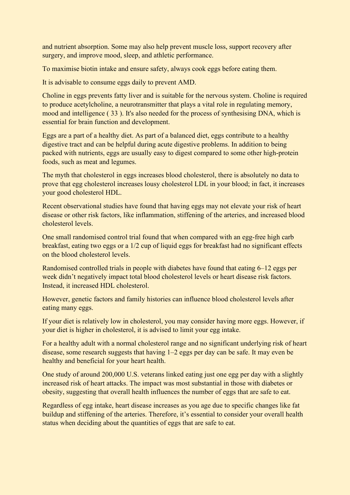and nutrient absorption. Some may also help prevent muscle loss, support recovery after surgery, and improve mood, sleep, and athletic performance.

To maximise biotin intake and ensure safety, always cook eggs before eating them.

It is advisable to consume eggs daily to prevent AMD.

Choline in eggs prevents fatty liver and is suitable for the nervous system. Choline is required to produce acetylcholine, a neurotransmitter that plays a vital role in regulating memory, mood and intelligence ( 33 ). It's also needed for the process of synthesising DNA, which is essential for brain function and development.

Eggs are a part of a healthy diet. As part of a balanced diet, eggs contribute to a healthy digestive tract and can be helpful during acute digestive problems. In addition to being packed with nutrients, eggs are usually easy to digest compared to some other high-protein foods, such as meat and legumes.

The myth that cholesterol in eggs increases blood cholesterol, there is absolutely no data to prove that egg cholesterol increases lousy cholesterol LDL in your blood; in fact, it increases your good cholesterol HDL.

Recent observational studies have found that having eggs may not elevate your risk of heart disease or other risk factors, like inflammation, stiffening of the arteries, and increased blood cholesterol levels.

One small randomised control trial found that when compared with an egg-free high carb breakfast, eating two eggs or a 1/2 cup of liquid eggs for breakfast had no significant effects on the blood cholesterol levels.

Randomised controlled trials in people with diabetes have found that eating 6–12 eggs per week didn't negatively impact total blood cholesterol levels or heart disease risk factors. Instead, it increased HDL cholesterol.

However, genetic factors and family histories can influence blood cholesterol levels after eating many eggs.

If your diet is relatively low in cholesterol, you may consider having more eggs. However, if your diet is higher in cholesterol, it is advised to limit your egg intake.

For a healthy adult with a normal cholesterol range and no significant underlying risk of heart disease, some research suggests that having 1–2 eggs per day can be safe. It may even be healthy and beneficial for your heart health.

One study of around 200,000 U.S. veterans linked eating just one egg per day with a slightly increased risk of heart attacks. The impact was most substantial in those with diabetes or obesity, suggesting that overall health influences the number of eggs that are safe to eat.

Regardless of egg intake, heart disease increases as you age due to specific changes like fat buildup and stiffening of the arteries. Therefore, it's essential to consider your overall health status when deciding about the quantities of eggs that are safe to eat.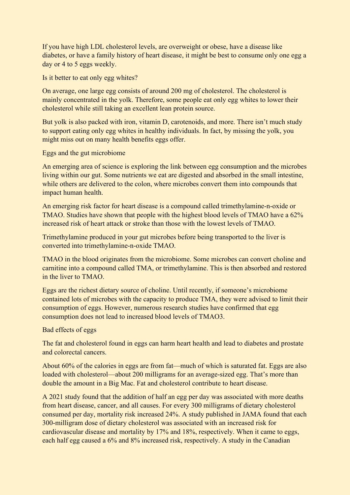If you have high LDL cholesterol levels, are overweight or obese, have a disease like diabetes, or have a family history of heart disease, it might be best to consume only one egg a day or 4 to 5 eggs weekly.

Is it better to eat only egg whites?

On average, one large egg consists of around 200 mg of cholesterol. The cholesterol is mainly concentrated in the yolk. Therefore, some people eat only egg whites to lower their cholesterol while still taking an excellent lean protein source.

But yolk is also packed with iron, vitamin D, carotenoids, and more. There isn't much study to support eating only egg whites in healthy individuals. In fact, by missing the yolk, you might miss out on many health benefits eggs offer.

Eggs and the gut microbiome

An emerging area of science is exploring the link between egg consumption and the microbes living within our gut. Some nutrients we eat are digested and absorbed in the small intestine, while others are delivered to the colon, where microbes convert them into compounds that impact human health.

An emerging risk factor for heart disease is a compound called trimethylamine-n-oxide or TMAO. Studies have shown that people with the highest blood levels of TMAO have a 62% increased risk of heart attack or stroke than those with the lowest levels of TMAO.

Trimethylamine produced in your gut microbes before being transported to the liver is converted into trimethylamine-n-oxide TMAO.

TMAO in the blood originates from the microbiome. Some microbes can convert choline and carnitine into a compound called TMA, or trimethylamine. This is then absorbed and restored in the liver to TMAO.

Eggs are the richest dietary source of choline. Until recently, if someone's microbiome contained lots of microbes with the capacity to produce TMA, they were advised to limit their consumption of eggs. However, numerous research studies have confirmed that egg consumption does not lead to increased blood levels of TMAO3.

## Bad effects of eggs

The fat and cholesterol found in eggs can harm heart health and lead to diabetes and prostate and colorectal cancers.

About 60% of the calories in eggs are from fat—much of which is saturated fat. Eggs are also loaded with cholesterol—about 200 milligrams for an average-sized egg. That's more than double the amount in a Big Mac. Fat and cholesterol contribute to heart disease.

A 2021 study found that the addition of half an egg per day was associated with more deaths from heart disease, cancer, and all causes. For every 300 milligrams of dietary cholesterol consumed per day, mortality risk increased 24%. A study published in JAMA found that each 300-milligram dose of dietary cholesterol was associated with an increased risk for cardiovascular disease and mortality by 17% and 18%, respectively. When it came to eggs, each half egg caused a 6% and 8% increased risk, respectively. A study in the Canadian